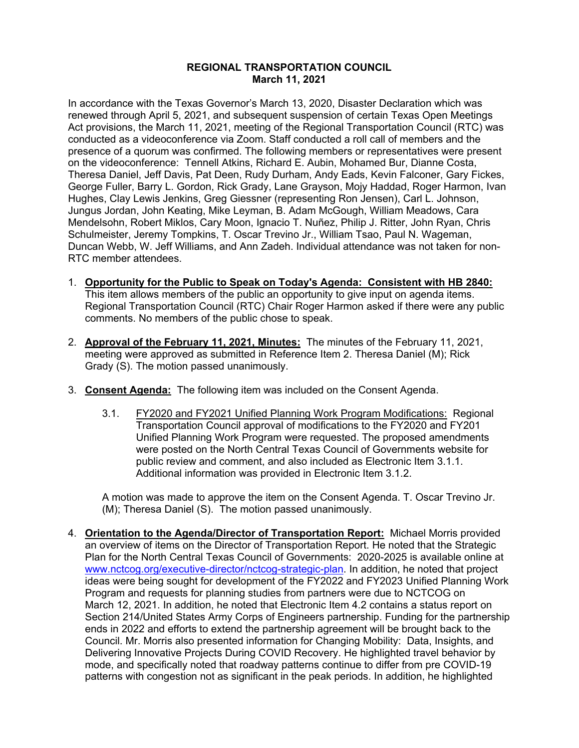## **REGIONAL TRANSPORTATION COUNCIL March 11, 2021**

In accordance with the Texas Governor's March 13, 2020, Disaster Declaration which was renewed through April 5, 2021, and subsequent suspension of certain Texas Open Meetings Act provisions, the March 11, 2021, meeting of the Regional Transportation Council (RTC) was conducted as a videoconference via Zoom. Staff conducted a roll call of members and the presence of a quorum was confirmed. The following members or representatives were present on the videoconference: Tennell Atkins, Richard E. Aubin, Mohamed Bur, Dianne Costa, Theresa Daniel, Jeff Davis, Pat Deen, Rudy Durham, Andy Eads, Kevin Falconer, Gary Fickes, George Fuller, Barry L. Gordon, Rick Grady, Lane Grayson, Mojy Haddad, Roger Harmon, Ivan Hughes, Clay Lewis Jenkins, Greg Giessner (representing Ron Jensen), Carl L. Johnson, Jungus Jordan, John Keating, Mike Leyman, B. Adam McGough, William Meadows, Cara Mendelsohn, Robert Miklos, Cary Moon, Ignacio T. Nuñez, Philip J. Ritter, John Ryan, Chris Schulmeister, Jeremy Tompkins, T. Oscar Trevino Jr., William Tsao, Paul N. Wageman, Duncan Webb, W. Jeff Williams, and Ann Zadeh. Individual attendance was not taken for non-RTC member attendees.

- 1. **Opportunity for the Public to Speak on Today's Agenda: Consistent with HB 2840:** This item allows members of the public an opportunity to give input on agenda items. Regional Transportation Council (RTC) Chair Roger Harmon asked if there were any public comments. No members of the public chose to speak.
- 2. **Approval of the February 11, 2021, Minutes:** The minutes of the February 11, 2021, meeting were approved as submitted in Reference Item 2. Theresa Daniel (M); Rick Grady (S). The motion passed unanimously.
- 3. **Consent Agenda:** The following item was included on the Consent Agenda.
	- 3.1. FY2020 and FY2021 Unified Planning Work Program Modifications: Regional Transportation Council approval of modifications to the FY2020 and FY201 Unified Planning Work Program were requested. The proposed amendments were posted on the North Central Texas Council of Governments website for public review and comment, and also included as Electronic Item 3.1.1. Additional information was provided in Electronic Item 3.1.2.

A motion was made to approve the item on the Consent Agenda. T. Oscar Trevino Jr. (M); Theresa Daniel (S). The motion passed unanimously.

4. **Orientation to the Agenda/Director of Transportation Report:** Michael Morris provided an overview of items on the Director of Transportation Report. He noted that the Strategic Plan for the North Central Texas Council of Governments: 2020-2025 is available online at [www.nctcog.org/executive-director/nctcog-strategic-plan.](http://www.nctcog.org/executive-director/nctcog-strategic-plan) In addition, he noted that project ideas were being sought for development of the FY2022 and FY2023 Unified Planning Work Program and requests for planning studies from partners were due to NCTCOG on March 12, 2021. In addition, he noted that Electronic Item 4.2 contains a status report on Section 214/United States Army Corps of Engineers partnership. Funding for the partnership ends in 2022 and efforts to extend the partnership agreement will be brought back to the Council. Mr. Morris also presented information for Changing Mobility: Data, Insights, and Delivering Innovative Projects During COVID Recovery. He highlighted travel behavior by mode, and specifically noted that roadway patterns continue to differ from pre COVID-19 patterns with congestion not as significant in the peak periods. In addition, he highlighted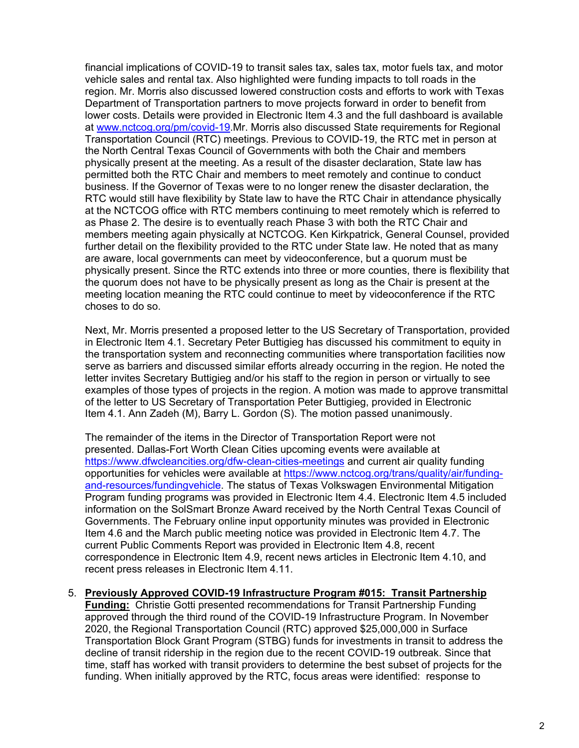financial implications of COVID-19 to transit sales tax, sales tax, motor fuels tax, and motor vehicle sales and rental tax. Also highlighted were funding impacts to toll roads in the region. Mr. Morris also discussed lowered construction costs and efforts to work with Texas Department of Transportation partners to move projects forward in order to benefit from lower costs. Details were provided in Electronic Item 4.3 and the full dashboard is available at [www.nctcog.org/pm/covid-19.](http://www.nctcog.org/pm/covid-19)Mr. Morris also discussed State requirements for Regional Transportation Council (RTC) meetings. Previous to COVID-19, the RTC met in person at the North Central Texas Council of Governments with both the Chair and members physically present at the meeting. As a result of the disaster declaration, State law has permitted both the RTC Chair and members to meet remotely and continue to conduct business. If the Governor of Texas were to no longer renew the disaster declaration, the RTC would still have flexibility by State law to have the RTC Chair in attendance physically at the NCTCOG office with RTC members continuing to meet remotely which is referred to as Phase 2. The desire is to eventually reach Phase 3 with both the RTC Chair and members meeting again physically at NCTCOG. Ken Kirkpatrick, General Counsel, provided further detail on the flexibility provided to the RTC under State law. He noted that as many are aware, local governments can meet by videoconference, but a quorum must be physically present. Since the RTC extends into three or more counties, there is flexibility that the quorum does not have to be physically present as long as the Chair is present at the meeting location meaning the RTC could continue to meet by videoconference if the RTC choses to do so.

Next, Mr. Morris presented a proposed letter to the US Secretary of Transportation, provided in Electronic Item 4.1. Secretary Peter Buttigieg has discussed his commitment to equity in the transportation system and reconnecting communities where transportation facilities now serve as barriers and discussed similar efforts already occurring in the region. He noted the letter invites Secretary Buttigieg and/or his staff to the region in person or virtually to see examples of those types of projects in the region. A motion was made to approve transmittal of the letter to US Secretary of Transportation Peter Buttigieg, provided in Electronic Item 4.1. Ann Zadeh (M), Barry L. Gordon (S). The motion passed unanimously.

The remainder of the items in the Director of Transportation Report were not presented. Dallas-Fort Worth Clean Cities upcoming events were available at <https://www.dfwcleancities.org/dfw-clean-cities-meetings> and current air quality funding opportunities for vehicles were available at [https://www.nctcog.org/trans/quality/air/funding](https://www.nctcog.org/trans/quality/air/funding-and-resources/fundingvehicle)[and-resources/fundingvehicle.](https://www.nctcog.org/trans/quality/air/funding-and-resources/fundingvehicle) The status of Texas Volkswagen Environmental Mitigation Program funding programs was provided in Electronic Item 4.4. Electronic Item 4.5 included information on the SolSmart Bronze Award received by the North Central Texas Council of Governments. The February online input opportunity minutes was provided in Electronic Item 4.6 and the March public meeting notice was provided in Electronic Item 4.7. The current Public Comments Report was provided in Electronic Item 4.8, recent correspondence in Electronic Item 4.9, recent news articles in Electronic Item 4.10, and recent press releases in Electronic Item 4.11.

5. **Previously Approved COVID-19 Infrastructure Program #015: Transit Partnership Funding:** Christie Gotti presented recommendations for Transit Partnership Funding approved through the third round of the COVID-19 Infrastructure Program. In November 2020, the Regional Transportation Council (RTC) approved \$25,000,000 in Surface Transportation Block Grant Program (STBG) funds for investments in transit to address the decline of transit ridership in the region due to the recent COVID-19 outbreak. Since that time, staff has worked with transit providers to determine the best subset of projects for the funding. When initially approved by the RTC, focus areas were identified: response to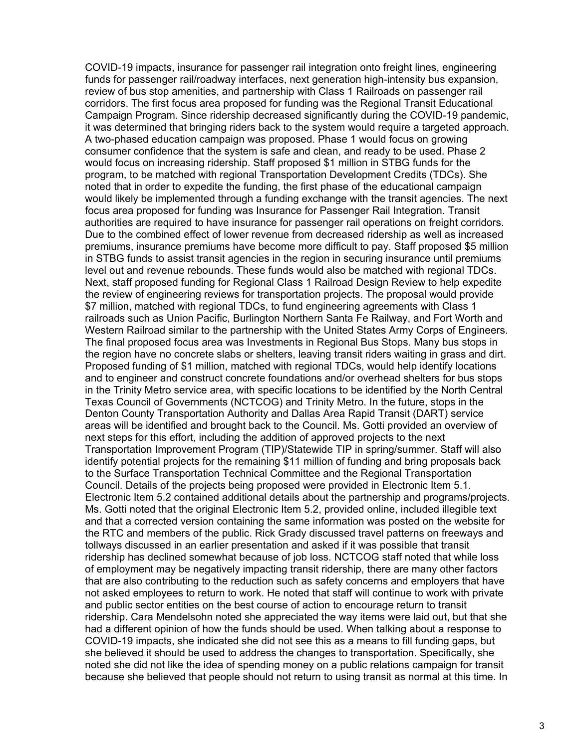COVID-19 impacts, insurance for passenger rail integration onto freight lines, engineering funds for passenger rail/roadway interfaces, next generation high-intensity bus expansion, review of bus stop amenities, and partnership with Class 1 Railroads on passenger rail corridors. The first focus area proposed for funding was the Regional Transit Educational Campaign Program. Since ridership decreased significantly during the COVID-19 pandemic, it was determined that bringing riders back to the system would require a targeted approach. A two-phased education campaign was proposed. Phase 1 would focus on growing consumer confidence that the system is safe and clean, and ready to be used. Phase 2 would focus on increasing ridership. Staff proposed \$1 million in STBG funds for the program, to be matched with regional Transportation Development Credits (TDCs). She noted that in order to expedite the funding, the first phase of the educational campaign would likely be implemented through a funding exchange with the transit agencies. The next focus area proposed for funding was Insurance for Passenger Rail Integration. Transit authorities are required to have insurance for passenger rail operations on freight corridors. Due to the combined effect of lower revenue from decreased ridership as well as increased premiums, insurance premiums have become more difficult to pay. Staff proposed \$5 million in STBG funds to assist transit agencies in the region in securing insurance until premiums level out and revenue rebounds. These funds would also be matched with regional TDCs. Next, staff proposed funding for Regional Class 1 Railroad Design Review to help expedite the review of engineering reviews for transportation projects. The proposal would provide \$7 million, matched with regional TDCs, to fund engineering agreements with Class 1 railroads such as Union Pacific, Burlington Northern Santa Fe Railway, and Fort Worth and Western Railroad similar to the partnership with the United States Army Corps of Engineers. The final proposed focus area was Investments in Regional Bus Stops. Many bus stops in the region have no concrete slabs or shelters, leaving transit riders waiting in grass and dirt. Proposed funding of \$1 million, matched with regional TDCs, would help identify locations and to engineer and construct concrete foundations and/or overhead shelters for bus stops in the Trinity Metro service area, with specific locations to be identified by the North Central Texas Council of Governments (NCTCOG) and Trinity Metro. In the future, stops in the Denton County Transportation Authority and Dallas Area Rapid Transit (DART) service areas will be identified and brought back to the Council. Ms. Gotti provided an overview of next steps for this effort, including the addition of approved projects to the next Transportation Improvement Program (TIP)/Statewide TIP in spring/summer. Staff will also identify potential projects for the remaining \$11 million of funding and bring proposals back to the Surface Transportation Technical Committee and the Regional Transportation Council. Details of the projects being proposed were provided in Electronic Item 5.1. Electronic Item 5.2 contained additional details about the partnership and programs/projects. Ms. Gotti noted that the original Electronic Item 5.2, provided online, included illegible text and that a corrected version containing the same information was posted on the website for the RTC and members of the public. Rick Grady discussed travel patterns on freeways and tollways discussed in an earlier presentation and asked if it was possible that transit ridership has declined somewhat because of job loss. NCTCOG staff noted that while loss of employment may be negatively impacting transit ridership, there are many other factors that are also contributing to the reduction such as safety concerns and employers that have not asked employees to return to work. He noted that staff will continue to work with private and public sector entities on the best course of action to encourage return to transit ridership. Cara Mendelsohn noted she appreciated the way items were laid out, but that she had a different opinion of how the funds should be used. When talking about a response to COVID-19 impacts, she indicated she did not see this as a means to fill funding gaps, but she believed it should be used to address the changes to transportation. Specifically, she noted she did not like the idea of spending money on a public relations campaign for transit because she believed that people should not return to using transit as normal at this time. In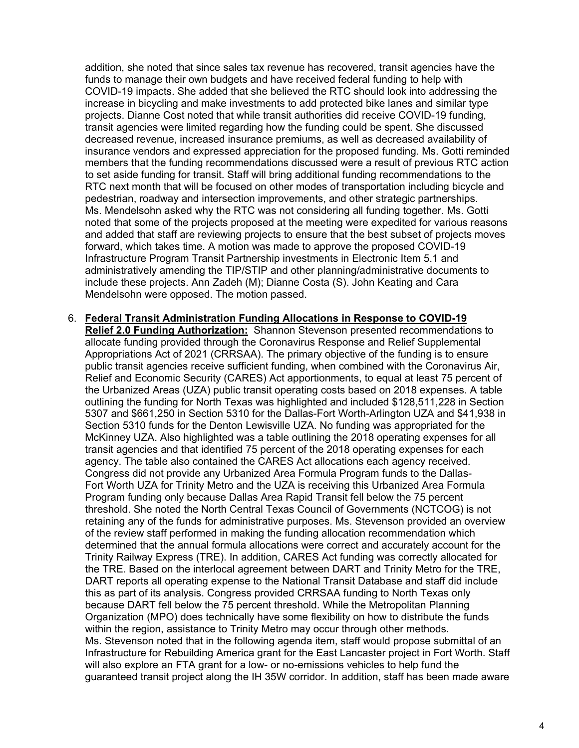addition, she noted that since sales tax revenue has recovered, transit agencies have the funds to manage their own budgets and have received federal funding to help with COVID-19 impacts. She added that she believed the RTC should look into addressing the increase in bicycling and make investments to add protected bike lanes and similar type projects. Dianne Cost noted that while transit authorities did receive COVID-19 funding, transit agencies were limited regarding how the funding could be spent. She discussed decreased revenue, increased insurance premiums, as well as decreased availability of insurance vendors and expressed appreciation for the proposed funding. Ms. Gotti reminded members that the funding recommendations discussed were a result of previous RTC action to set aside funding for transit. Staff will bring additional funding recommendations to the RTC next month that will be focused on other modes of transportation including bicycle and pedestrian, roadway and intersection improvements, and other strategic partnerships. Ms. Mendelsohn asked why the RTC was not considering all funding together. Ms. Gotti noted that some of the projects proposed at the meeting were expedited for various reasons and added that staff are reviewing projects to ensure that the best subset of projects moves forward, which takes time. A motion was made to approve the proposed COVID-19 Infrastructure Program Transit Partnership investments in Electronic Item 5.1 and administratively amending the TIP/STIP and other planning/administrative documents to include these projects. Ann Zadeh (M); Dianne Costa (S). John Keating and Cara Mendelsohn were opposed. The motion passed.

6. **Federal Transit Administration Funding Allocations in Response to COVID-19 Relief 2.0 Funding Authorization:** Shannon Stevenson presented recommendations to allocate funding provided through the Coronavirus Response and Relief Supplemental Appropriations Act of 2021 (CRRSAA). The primary objective of the funding is to ensure public transit agencies receive sufficient funding, when combined with the Coronavirus Air, Relief and Economic Security (CARES) Act apportionments, to equal at least 75 percent of the Urbanized Areas (UZA) public transit operating costs based on 2018 expenses. A table outlining the funding for North Texas was highlighted and included \$128,511,228 in Section 5307 and \$661,250 in Section 5310 for the Dallas-Fort Worth-Arlington UZA and \$41,938 in Section 5310 funds for the Denton Lewisville UZA. No funding was appropriated for the McKinney UZA. Also highlighted was a table outlining the 2018 operating expenses for all transit agencies and that identified 75 percent of the 2018 operating expenses for each agency. The table also contained the CARES Act allocations each agency received. Congress did not provide any Urbanized Area Formula Program funds to the Dallas-Fort Worth UZA for Trinity Metro and the UZA is receiving this Urbanized Area Formula Program funding only because Dallas Area Rapid Transit fell below the 75 percent threshold. She noted the North Central Texas Council of Governments (NCTCOG) is not retaining any of the funds for administrative purposes. Ms. Stevenson provided an overview of the review staff performed in making the funding allocation recommendation which determined that the annual formula allocations were correct and accurately account for the Trinity Railway Express (TRE). In addition, CARES Act funding was correctly allocated for the TRE. Based on the interlocal agreement between DART and Trinity Metro for the TRE, DART reports all operating expense to the National Transit Database and staff did include this as part of its analysis. Congress provided CRRSAA funding to North Texas only because DART fell below the 75 percent threshold. While the Metropolitan Planning Organization (MPO) does technically have some flexibility on how to distribute the funds within the region, assistance to Trinity Metro may occur through other methods. Ms. Stevenson noted that in the following agenda item, staff would propose submittal of an Infrastructure for Rebuilding America grant for the East Lancaster project in Fort Worth. Staff will also explore an FTA grant for a low- or no-emissions vehicles to help fund the guaranteed transit project along the IH 35W corridor. In addition, staff has been made aware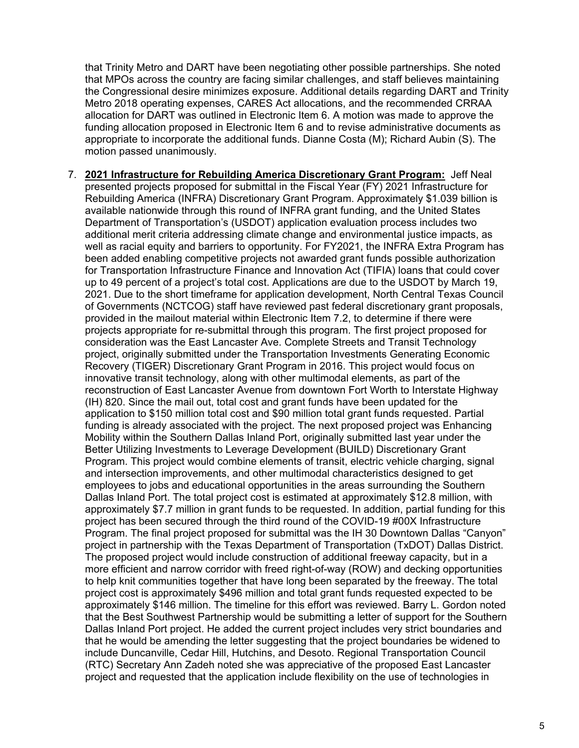that Trinity Metro and DART have been negotiating other possible partnerships. She noted that MPOs across the country are facing similar challenges, and staff believes maintaining the Congressional desire minimizes exposure. Additional details regarding DART and Trinity Metro 2018 operating expenses, CARES Act allocations, and the recommended CRRAA allocation for DART was outlined in Electronic Item 6. A motion was made to approve the funding allocation proposed in Electronic Item 6 and to revise administrative documents as appropriate to incorporate the additional funds. Dianne Costa (M); Richard Aubin (S). The motion passed unanimously.

7. **2021 Infrastructure for Rebuilding America Discretionary Grant Program:** Jeff Neal presented projects proposed for submittal in the Fiscal Year (FY) 2021 Infrastructure for Rebuilding America (INFRA) Discretionary Grant Program. Approximately \$1.039 billion is available nationwide through this round of INFRA grant funding, and the United States Department of Transportation's (USDOT) application evaluation process includes two additional merit criteria addressing climate change and environmental justice impacts, as well as racial equity and barriers to opportunity. For FY2021, the INFRA Extra Program has been added enabling competitive projects not awarded grant funds possible authorization for Transportation Infrastructure Finance and Innovation Act (TIFIA) loans that could cover up to 49 percent of a project's total cost. Applications are due to the USDOT by March 19, 2021. Due to the short timeframe for application development, North Central Texas Council of Governments (NCTCOG) staff have reviewed past federal discretionary grant proposals, provided in the mailout material within Electronic Item 7.2, to determine if there were projects appropriate for re-submittal through this program. The first project proposed for consideration was the East Lancaster Ave. Complete Streets and Transit Technology project, originally submitted under the Transportation Investments Generating Economic Recovery (TIGER) Discretionary Grant Program in 2016. This project would focus on innovative transit technology, along with other multimodal elements, as part of the reconstruction of East Lancaster Avenue from downtown Fort Worth to Interstate Highway (IH) 820. Since the mail out, total cost and grant funds have been updated for the application to \$150 million total cost and \$90 million total grant funds requested. Partial funding is already associated with the project. The next proposed project was Enhancing Mobility within the Southern Dallas Inland Port, originally submitted last year under the Better Utilizing Investments to Leverage Development (BUILD) Discretionary Grant Program. This project would combine elements of transit, electric vehicle charging, signal and intersection improvements, and other multimodal characteristics designed to get employees to jobs and educational opportunities in the areas surrounding the Southern Dallas Inland Port. The total project cost is estimated at approximately \$12.8 million, with approximately \$7.7 million in grant funds to be requested. In addition, partial funding for this project has been secured through the third round of the COVID-19 #00X Infrastructure Program. The final project proposed for submittal was the IH 30 Downtown Dallas "Canyon" project in partnership with the Texas Department of Transportation (TxDOT) Dallas District. The proposed project would include construction of additional freeway capacity, but in a more efficient and narrow corridor with freed right-of-way (ROW) and decking opportunities to help knit communities together that have long been separated by the freeway. The total project cost is approximately \$496 million and total grant funds requested expected to be approximately \$146 million. The timeline for this effort was reviewed. Barry L. Gordon noted that the Best Southwest Partnership would be submitting a letter of support for the Southern Dallas Inland Port project. He added the current project includes very strict boundaries and that he would be amending the letter suggesting that the project boundaries be widened to include Duncanville, Cedar Hill, Hutchins, and Desoto. Regional Transportation Council (RTC) Secretary Ann Zadeh noted she was appreciative of the proposed East Lancaster project and requested that the application include flexibility on the use of technologies in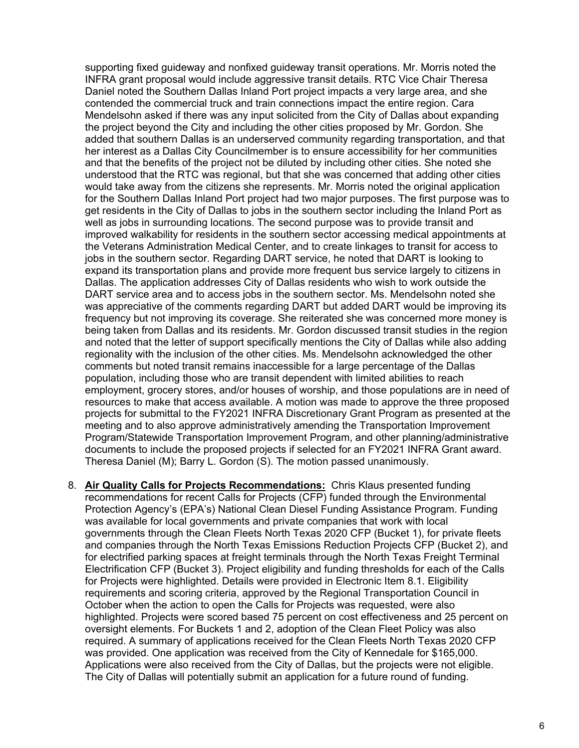supporting fixed guideway and nonfixed guideway transit operations. Mr. Morris noted the INFRA grant proposal would include aggressive transit details. RTC Vice Chair Theresa Daniel noted the Southern Dallas Inland Port project impacts a very large area, and she contended the commercial truck and train connections impact the entire region. Cara Mendelsohn asked if there was any input solicited from the City of Dallas about expanding the project beyond the City and including the other cities proposed by Mr. Gordon. She added that southern Dallas is an underserved community regarding transportation, and that her interest as a Dallas City Councilmember is to ensure accessibility for her communities and that the benefits of the project not be diluted by including other cities. She noted she understood that the RTC was regional, but that she was concerned that adding other cities would take away from the citizens she represents. Mr. Morris noted the original application for the Southern Dallas Inland Port project had two major purposes. The first purpose was to get residents in the City of Dallas to jobs in the southern sector including the Inland Port as well as jobs in surrounding locations. The second purpose was to provide transit and improved walkability for residents in the southern sector accessing medical appointments at the Veterans Administration Medical Center, and to create linkages to transit for access to jobs in the southern sector. Regarding DART service, he noted that DART is looking to expand its transportation plans and provide more frequent bus service largely to citizens in Dallas. The application addresses City of Dallas residents who wish to work outside the DART service area and to access jobs in the southern sector. Ms. Mendelsohn noted she was appreciative of the comments regarding DART but added DART would be improving its frequency but not improving its coverage. She reiterated she was concerned more money is being taken from Dallas and its residents. Mr. Gordon discussed transit studies in the region and noted that the letter of support specifically mentions the City of Dallas while also adding regionality with the inclusion of the other cities. Ms. Mendelsohn acknowledged the other comments but noted transit remains inaccessible for a large percentage of the Dallas population, including those who are transit dependent with limited abilities to reach employment, grocery stores, and/or houses of worship, and those populations are in need of resources to make that access available. A motion was made to approve the three proposed projects for submittal to the FY2021 INFRA Discretionary Grant Program as presented at the meeting and to also approve administratively amending the Transportation Improvement Program/Statewide Transportation Improvement Program, and other planning/administrative documents to include the proposed projects if selected for an FY2021 INFRA Grant award. Theresa Daniel (M); Barry L. Gordon (S). The motion passed unanimously.

8. **Air Quality Calls for Projects Recommendations:** Chris Klaus presented funding recommendations for recent Calls for Projects (CFP) funded through the Environmental Protection Agency's (EPA's) National Clean Diesel Funding Assistance Program. Funding was available for local governments and private companies that work with local governments through the Clean Fleets North Texas 2020 CFP (Bucket 1), for private fleets and companies through the North Texas Emissions Reduction Projects CFP (Bucket 2), and for electrified parking spaces at freight terminals through the North Texas Freight Terminal Electrification CFP (Bucket 3). Project eligibility and funding thresholds for each of the Calls for Projects were highlighted. Details were provided in Electronic Item 8.1. Eligibility requirements and scoring criteria, approved by the Regional Transportation Council in October when the action to open the Calls for Projects was requested, were also highlighted. Projects were scored based 75 percent on cost effectiveness and 25 percent on oversight elements. For Buckets 1 and 2, adoption of the Clean Fleet Policy was also required. A summary of applications received for the Clean Fleets North Texas 2020 CFP was provided. One application was received from the City of Kennedale for \$165,000. Applications were also received from the City of Dallas, but the projects were not eligible. The City of Dallas will potentially submit an application for a future round of funding.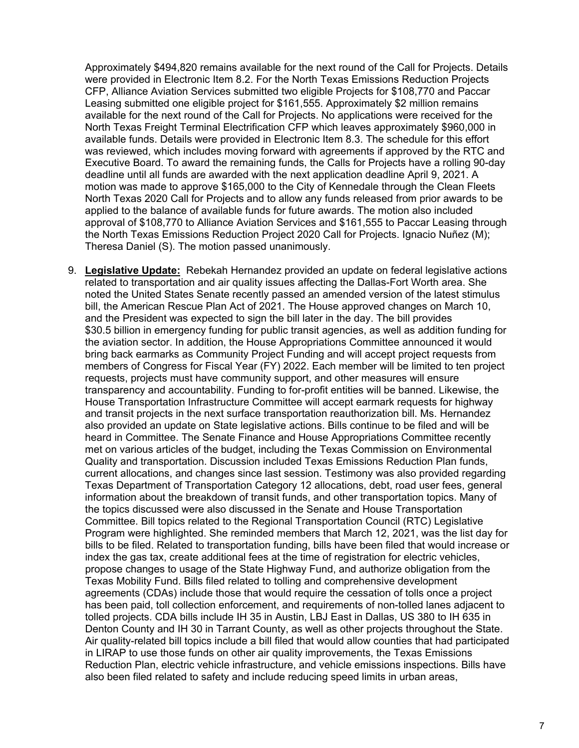Approximately \$494,820 remains available for the next round of the Call for Projects. Details were provided in Electronic Item 8.2. For the North Texas Emissions Reduction Projects CFP, Alliance Aviation Services submitted two eligible Projects for \$108,770 and Paccar Leasing submitted one eligible project for \$161,555. Approximately \$2 million remains available for the next round of the Call for Projects. No applications were received for the North Texas Freight Terminal Electrification CFP which leaves approximately \$960,000 in available funds. Details were provided in Electronic Item 8.3. The schedule for this effort was reviewed, which includes moving forward with agreements if approved by the RTC and Executive Board. To award the remaining funds, the Calls for Projects have a rolling 90-day deadline until all funds are awarded with the next application deadline April 9, 2021. A motion was made to approve \$165,000 to the City of Kennedale through the Clean Fleets North Texas 2020 Call for Projects and to allow any funds released from prior awards to be applied to the balance of available funds for future awards. The motion also included approval of \$108,770 to Alliance Aviation Services and \$161,555 to Paccar Leasing through the North Texas Emissions Reduction Project 2020 Call for Projects. Ignacio Nuñez (M); Theresa Daniel (S). The motion passed unanimously.

9. **Legislative Update:** Rebekah Hernandez provided an update on federal legislative actions related to transportation and air quality issues affecting the Dallas-Fort Worth area. She noted the United States Senate recently passed an amended version of the latest stimulus bill, the American Rescue Plan Act of 2021. The House approved changes on March 10, and the President was expected to sign the bill later in the day. The bill provides \$30.5 billion in emergency funding for public transit agencies, as well as addition funding for the aviation sector. In addition, the House Appropriations Committee announced it would bring back earmarks as Community Project Funding and will accept project requests from members of Congress for Fiscal Year (FY) 2022. Each member will be limited to ten project requests, projects must have community support, and other measures will ensure transparency and accountability. Funding to for-profit entities will be banned. Likewise, the House Transportation Infrastructure Committee will accept earmark requests for highway and transit projects in the next surface transportation reauthorization bill. Ms. Hernandez also provided an update on State legislative actions. Bills continue to be filed and will be heard in Committee. The Senate Finance and House Appropriations Committee recently met on various articles of the budget, including the Texas Commission on Environmental Quality and transportation. Discussion included Texas Emissions Reduction Plan funds, current allocations, and changes since last session. Testimony was also provided regarding Texas Department of Transportation Category 12 allocations, debt, road user fees, general information about the breakdown of transit funds, and other transportation topics. Many of the topics discussed were also discussed in the Senate and House Transportation Committee. Bill topics related to the Regional Transportation Council (RTC) Legislative Program were highlighted. She reminded members that March 12, 2021, was the list day for bills to be filed. Related to transportation funding, bills have been filed that would increase or index the gas tax, create additional fees at the time of registration for electric vehicles, propose changes to usage of the State Highway Fund, and authorize obligation from the Texas Mobility Fund. Bills filed related to tolling and comprehensive development agreements (CDAs) include those that would require the cessation of tolls once a project has been paid, toll collection enforcement, and requirements of non-tolled lanes adjacent to tolled projects. CDA bills include IH 35 in Austin, LBJ East in Dallas, US 380 to IH 635 in Denton County and IH 30 in Tarrant County, as well as other projects throughout the State. Air quality-related bill topics include a bill filed that would allow counties that had participated in LIRAP to use those funds on other air quality improvements, the Texas Emissions Reduction Plan, electric vehicle infrastructure, and vehicle emissions inspections. Bills have also been filed related to safety and include reducing speed limits in urban areas,